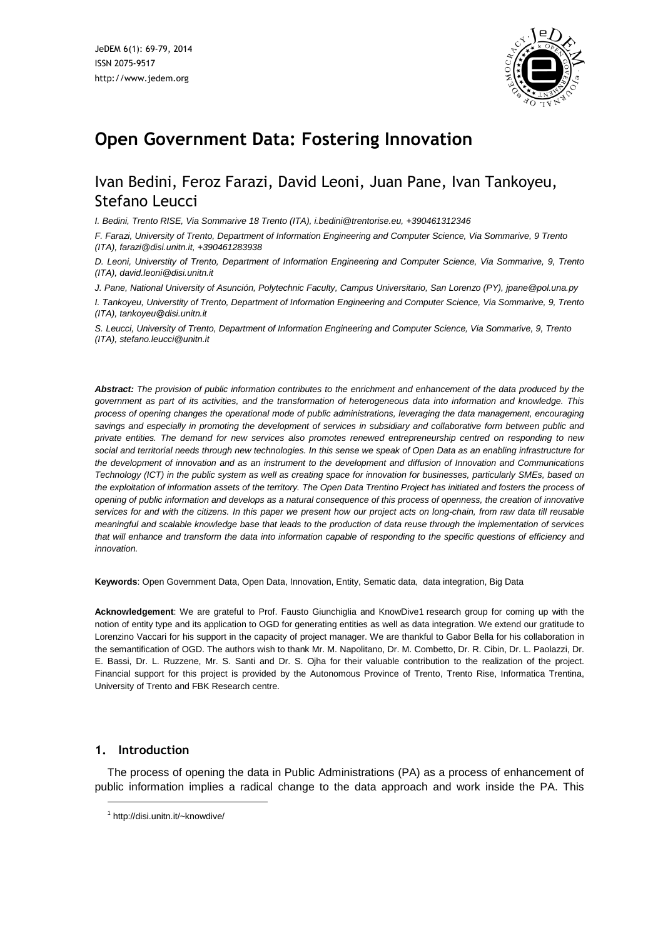

# **Open Government Data: Fostering Innovation**

## Ivan Bedini, Feroz Farazi, David Leoni, Juan Pane, Ivan Tankoyeu, Stefano Leucci

*I. Bedini, Trento RISE, Via Sommarive 18 Trento (ITA), i.bedini@trentorise.eu, +390461312346*

F. Farazi, University of Trento, Department of Information Engineering and Computer Science, Via Sommarive, 9 Trento *(ITA), farazi@disi.unitn.it, +390461283938*

D. Leoni, Universtity of Trento, Department of Information Engineering and Computer Science, Via Sommarive, 9, Trento *(ITA), david.leoni@disi.unitn.it*

*J. Pane, National University of Asunción, Polytechnic Faculty, Campus Universitario, San Lorenzo (PY), jpane@pol.una.py*

I. Tankoyeu, Universtity of Trento, Department of Information Engineering and Computer Science, Via Sommarive, 9, Trento *(ITA), tankoyeu@disi.unitn.it*

S. Leucci, University of Trento, Department of Information Engineering and Computer Science, Via Sommarive, 9, Trento *(ITA), stefano.leucci@unitn.it*

Abstract: The provision of public information contributes to the enrichment and enhancement of the data produced by the government as part of its activities, and the transformation of heterogeneous data into information and knowledge. This *process of opening changes the operational mode of public administrations, leveraging the data management, encouraging* savings and especially in promoting the development of services in subsidiary and collaborative form between public and private entities. The demand for new services also promotes renewed entrepreneurship centred on responding to new social and territorial needs through new technologies. In this sense we speak of Open Data as an enabling infrastructure for the development of innovation and as an instrument to the development and diffusion of Innovation and Communications Technology (ICT) in the public system as well as creating space for innovation for businesses, particularly SMEs, based on the exploitation of information assets of the territory. The Open Data Trentino Project has initiated and fosters the process of opening of public information and develops as a natural consequence of this process of openness, the creation of innovative services for and with the citizens. In this paper we present how our project acts on long-chain, from raw data till reusable meaningful and scalable knowledge base that leads to the production of data reuse through the implementation of services that will enhance and transform the data into information capable of responding to the specific questions of efficiency and *innovation.*

**Keywords**: Open Government Data, Open Data, Innovation, Entity, Sematic data, data integration, Big Data

**Acknowledgement**: We are grateful to Prof. Fausto Giunchiglia and KnowDive1 research group for coming up with the notion of entity type and its application to OGD for generating entities as well as data integration. We extend our gratitude to Lorenzino Vaccari for his support in the capacity of project manager. We are thankful to Gabor Bella for his collaboration in the semantification of OGD. The authors wish to thank Mr. M. Napolitano, Dr. M. Combetto, Dr. R. Cibin, Dr. L. Paolazzi, Dr. E. Bassi, Dr. L. Ruzzene, Mr. S. Santi and Dr. S. Ojha for their valuable contribution to the realization of the project. Financial support for this project is provided by the Autonomous Province of Trento, Trento Rise, Informatica Trentina, University of Trento and FBK Research centre.

## **1. Introduction**

l

The process of opening the data in Public Administrations (PA) as a process of enhancement of public information implies a radical change to the data approach and work inside the PA. This

<sup>1</sup> http://disi.unitn.it/~knowdive/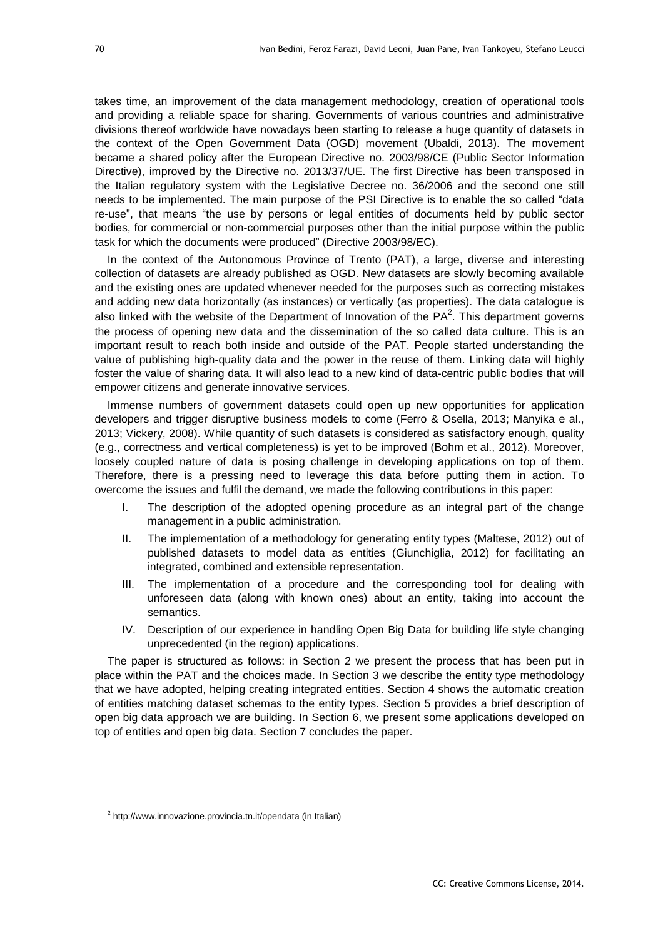takes time, an improvement of the data management methodology, creation of operational tools and providing a reliable space for sharing. Governments of various countries and administrative divisions thereof worldwide have nowadays been starting to release a huge quantity of datasets in the context of the Open Government Data (OGD) movement (Ubaldi, 2013). The movement became a shared policy after the European Directive no. 2003/98/CE (Public Sector Information Directive), improved by the Directive no. 2013/37/UE. The first Directive has been transposed in the Italian regulatory system with the Legislative Decree no. 36/2006 and the second one still needs to be implemented. The main purpose of the PSI Directive is to enable the so called "data re-use", that means "the use by persons or legal entities of documents held by public sector bodies, for commercial or non-commercial purposes other than the initial purpose within the public task for which the documents were produced" (Directive 2003/98/EC).

In the context of the Autonomous Province of Trento (PAT), a large, diverse and interesting collection of datasets are already published as OGD. New datasets are slowly becoming available and the existing ones are updated whenever needed for the purposes such as correcting mistakes and adding new data horizontally (as instances) or vertically (as properties). The data catalogue is also linked with the website of the Department of Innovation of the PA<sup>2</sup>. This department governs the process of opening new data and the dissemination of the so called data culture. This is an important result to reach both inside and outside of the PAT. People started understanding the value of publishing high-quality data and the power in the reuse of them. Linking data will highly foster the value of sharing data. It will also lead to a new kind of data-centric public bodies that will empower citizens and generate innovative services.

Immense numbers of government datasets could open up new opportunities for application developers and trigger disruptive business models to come (Ferro & Osella, 2013; Manyika e al., 2013; Vickery, 2008). While quantity of such datasets is considered as satisfactory enough, quality (e.g., correctness and vertical completeness) is yet to be improved (Bohm et al., 2012). Moreover, loosely coupled nature of data is posing challenge in developing applications on top of them. Therefore, there is a pressing need to leverage this data before putting them in action. To overcome the issues and fulfil the demand, we made the following contributions in this paper:

- I. The description of the adopted opening procedure as an integral part of the change management in a public administration.
- II. The implementation of a methodology for generating entity types (Maltese, 2012) out of published datasets to model data as entities (Giunchiglia, 2012) for facilitating an integrated, combined and extensible representation.
- III. The implementation of a procedure and the corresponding tool for dealing with unforeseen data (along with known ones) about an entity, taking into account the semantics.
- IV. Description of our experience in handling Open Big Data for building life style changing unprecedented (in the region) applications.

The paper is structured as follows: in Section 2 we present the process that has been put in place within the PAT and the choices made. In Section 3 we describe the entity type methodology that we have adopted, helping creating integrated entities. Section 4 shows the automatic creation of entities matching dataset schemas to the entity types. Section 5 provides a brief description of open big data approach we are building. In Section 6, we present some applications developed on top of entities and open big data. Section 7 concludes the paper.

<sup>&</sup>lt;sup>2</sup> http://www.innovazione.provincia.tn.it/opendata (in Italian)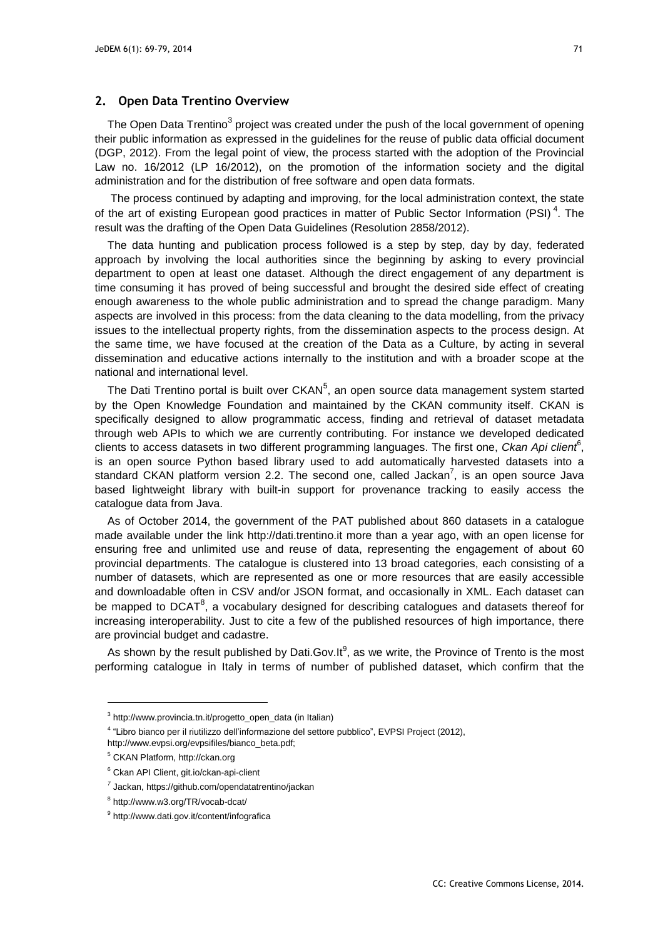## **2. Open Data Trentino Overview**

The Open Data Trentino $^3$  project was created under the push of the local government of opening their public information as expressed in the guidelines for the reuse of public data official document (DGP, 2012). From the legal point of view, the process started with the adoption of the Provincial Law no. 16/2012 (LP 16/2012), on the promotion of the information society and the digital administration and for the distribution of free software and open data formats.

The process continued by adapting and improving, for the local administration context, the state of the art of existing European good practices in matter of Public Sector Information (PSI)<sup>4</sup>. The result was the drafting of the Open Data Guidelines (Resolution 2858/2012).

The data hunting and publication process followed is a step by step, day by day, federated approach by involving the local authorities since the beginning by asking to every provincial department to open at least one dataset. Although the direct engagement of any department is time consuming it has proved of being successful and brought the desired side effect of creating enough awareness to the whole public administration and to spread the change paradigm. Many aspects are involved in this process: from the data cleaning to the data modelling, from the privacy issues to the intellectual property rights, from the dissemination aspects to the process design. At the same time, we have focused at the creation of the Data as a Culture, by acting in several dissemination and educative actions internally to the institution and with a broader scope at the national and international level.

The Dati Trentino portal is built over CKAN<sup>5</sup>, an open source data management system started by the Open Knowledge Foundation and maintained by the CKAN community itself. CKAN is specifically designed to allow programmatic access, finding and retrieval of dataset metadata through web APIs to which we are currently contributing. For instance we developed dedicated clients to access datasets in two different programming languages. The first one, *Ckan Api client*<sup>6</sup> , is an open source Python based library used to add automatically harvested datasets into a standard CKAN platform version 2.2. The second one, called Jackan<sup>7</sup>, is an open source Java based lightweight library with built-in support for provenance tracking to easily access the catalogue data from Java.

As of October 2014, the government of the PAT published about 860 datasets in a catalogue made available under the link http://dati.trentino.it more than a year ago, with an open license for ensuring free and unlimited use and reuse of data, representing the engagement of about 60 provincial departments. The catalogue is clustered into 13 broad categories, each consisting of a number of datasets, which are represented as one or more resources that are easily accessible and downloadable often in CSV and/or JSON format, and occasionally in XML. Each dataset can be mapped to DCAT<sup>8</sup>, a vocabulary designed for describing catalogues and datasets thereof for increasing interoperability. Just to cite a few of the published resources of high importance, there are provincial budget and cadastre.

As shown by the result published by Dati.Gov.It $^9$ , as we write, the Province of Trento is the most performing catalogue in Italy in terms of number of published dataset, which confirm that the

-

<sup>3</sup> http://www.provincia.tn.it/progetto\_open\_data (in Italian)

<sup>&</sup>lt;sup>4</sup> "Libro bianco per il riutilizzo dell'informazione del settore pubblico", EVPSI Project (2012),

http://www.evpsi.org/evpsifiles/bianco\_beta.pdf;

<sup>5</sup> CKAN Platform, http://ckan.org

<sup>6</sup> Ckan API Client, git.io/ckan-api-client

*<sup>7</sup>* Jackan, https://github.com/opendatatrentino/jackan

<sup>&</sup>lt;sup>8</sup> http://www.w3.org/TR/vocab-dcat/

<sup>&</sup>lt;sup>9</sup> http://www.dati.gov.it/content/infografica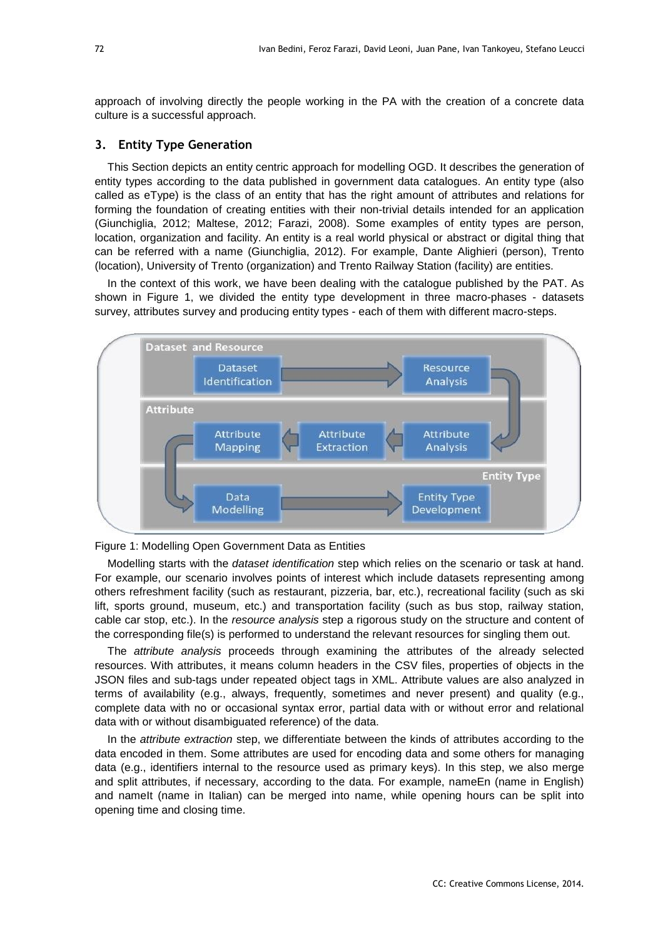approach of involving directly the people working in the PA with the creation of a concrete data culture is a successful approach.

## **3. Entity Type Generation**

This Section depicts an entity centric approach for modelling OGD. It describes the generation of entity types according to the data published in government data catalogues. An entity type (also called as eType) is the class of an entity that has the right amount of attributes and relations for forming the foundation of creating entities with their non-trivial details intended for an application (Giunchiglia, 2012; Maltese, 2012; Farazi, 2008). Some examples of entity types are person, location, organization and facility. An entity is a real world physical or abstract or digital thing that can be referred with a name (Giunchiglia, 2012). For example, Dante Alighieri (person), Trento (location), University of Trento (organization) and Trento Railway Station (facility) are entities.

In the context of this work, we have been dealing with the catalogue published by the PAT. As shown in Figure 1, we divided the entity type development in three macro-phases - datasets survey, attributes survey and producing entity types - each of them with different macro-steps.





Modelling starts with the *dataset identification* step which relies on the scenario or task at hand. For example, our scenario involves points of interest which include datasets representing among others refreshment facility (such as restaurant, pizzeria, bar, etc.), recreational facility (such as ski lift, sports ground, museum, etc.) and transportation facility (such as bus stop, railway station, cable car stop, etc.). In the *resource analysis* step a rigorous study on the structure and content of the corresponding file(s) is performed to understand the relevant resources for singling them out.

The *attribute analysis* proceeds through examining the attributes of the already selected resources. With attributes, it means column headers in the CSV files, properties of objects in the JSON files and sub-tags under repeated object tags in XML. Attribute values are also analyzed in terms of availability (e.g., always, frequently, sometimes and never present) and quality (e.g., complete data with no or occasional syntax error, partial data with or without error and relational data with or without disambiguated reference) of the data.

In the *attribute extraction* step, we differentiate between the kinds of attributes according to the data encoded in them. Some attributes are used for encoding data and some others for managing data (e.g., identifiers internal to the resource used as primary keys). In this step, we also merge and split attributes, if necessary, according to the data. For example, nameEn (name in English) and namelt (name in Italian) can be merged into name, while opening hours can be split into opening time and closing time.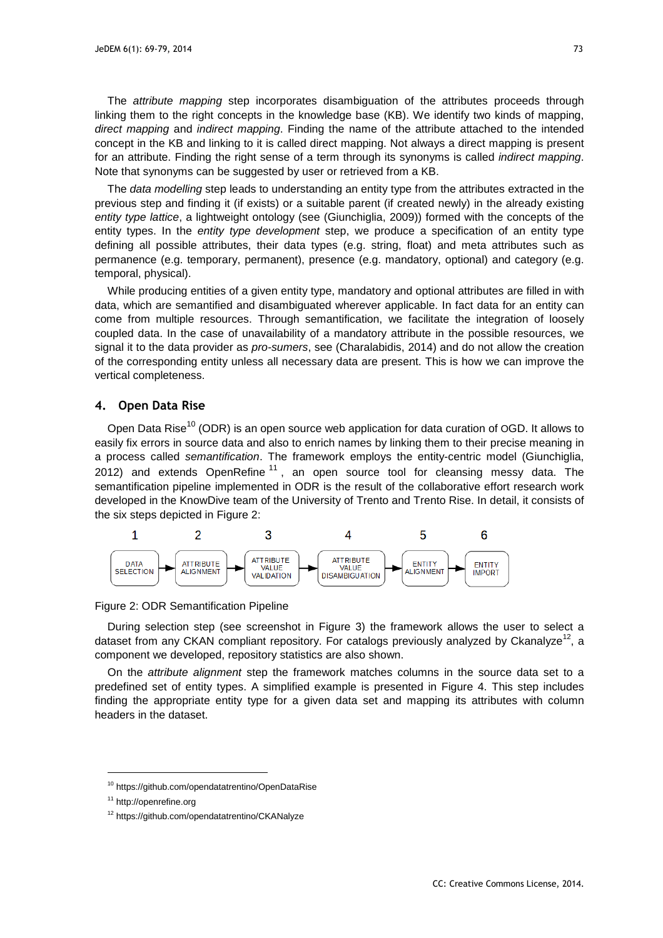The *attribute mapping* step incorporates disambiguation of the attributes proceeds through linking them to the right concepts in the knowledge base (KB). We identify two kinds of mapping, *direct mapping* and *indirect mapping*. Finding the name of the attribute attached to the intended concept in the KB and linking to it is called direct mapping. Not always a direct mapping is present for an attribute. Finding the right sense of a term through its synonyms is called *indirect mapping*. Note that synonyms can be suggested by user or retrieved from a KB.

The *data modelling* step leads to understanding an entity type from the attributes extracted in the previous step and finding it (if exists) or a suitable parent (if created newly) in the already existing *entity type lattice*, a lightweight ontology (see (Giunchiglia, 2009)) formed with the concepts of the entity types. In the *entity type development* step, we produce a specification of an entity type defining all possible attributes, their data types (e.g. string, float) and meta attributes such as permanence (e.g. temporary, permanent), presence (e.g. mandatory, optional) and category (e.g. temporal, physical).

While producing entities of a given entity type, mandatory and optional attributes are filled in with data, which are semantified and disambiguated wherever applicable. In fact data for an entity can come from multiple resources. Through semantification, we facilitate the integration of loosely coupled data. In the case of unavailability of a mandatory attribute in the possible resources, we signal it to the data provider as *pro-sumers*, see (Charalabidis, 2014) and do not allow the creation of the corresponding entity unless all necessary data are present. This is how we can improve the vertical completeness.

#### **4. Open Data Rise**

Open Data Rise<sup>10</sup> (ODR) is an open source web application for data curation of OGD. It allows to easily fix errors in source data and also to enrich names by linking them to their precise meaning in a process called *semantification*. The framework employs the entity-centric model (Giunchiglia, 2012) and extends OpenRefine<sup>11</sup>, an open source tool for cleansing messy data. The semantification pipeline implemented in ODR is the result of the collaborative effort research work developed in the KnowDive team of the University of Trento and Trento Rise. In detail, it consists of the six steps depicted in Figure 2:



Figure 2: ODR Semantification Pipeline

During selection step (see screenshot in Figure 3) the framework allows the user to select a dataset from any CKAN compliant repository. For catalogs previously analyzed by Ckanalyze<sup>12</sup>, a component we developed, repository statistics are also shown.

On the *attribute alignment* step the framework matches columns in the source data set to a predefined set of entity types. A simplified example is presented in Figure 4. This step includes finding the appropriate entity type for a given data set and mapping its attributes with column headers in the dataset.

<sup>10</sup> https://github.com/opendatatrentino/OpenDataRise

<sup>11</sup> http://openrefine.org

<sup>12</sup> https://github.com/opendatatrentino/CKANalyze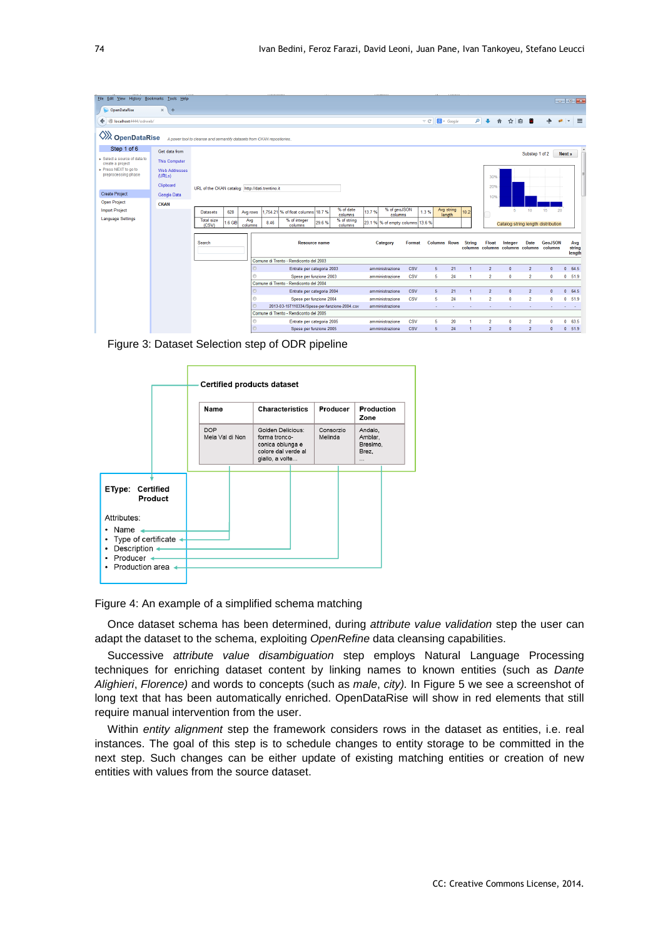| File Edit View History Bookmarks Tools Help    |                                |                                                                        |          |          |      |                                               |       |                      |          |                         |                                  |                     |                      |                      |                |              |                  |                                         |        | $  x$    |
|------------------------------------------------|--------------------------------|------------------------------------------------------------------------|----------|----------|------|-----------------------------------------------|-------|----------------------|----------|-------------------------|----------------------------------|---------------------|----------------------|----------------------|----------------|--------------|------------------|-----------------------------------------|--------|----------|
| OpenDataRise                                   | $\times$<br>$+$                |                                                                        |          |          |      |                                               |       |                      |          |                         |                                  |                     |                      |                      |                |              |                  |                                         |        |          |
| ← calhost:4444/odrweb/                         |                                |                                                                        |          |          |      |                                               |       |                      |          |                         |                                  | $\triangledown$ C'  | $8 + Google$         | ا هر                 | $\overline{ }$ | ☆ 自<br>合     | æ                |                                         | $\psi$ | $\equiv$ |
|                                                |                                |                                                                        |          |          |      |                                               |       |                      |          |                         |                                  |                     |                      |                      |                |              |                  |                                         |        |          |
| <b>WA</b> OpenDataRise                         |                                | A power tool to cleanse and semantify datasets from CKAN repositories. |          |          |      |                                               |       |                      |          |                         |                                  |                     |                      |                      |                |              |                  |                                         |        |          |
| Step 1 of 6                                    | Get data from                  |                                                                        |          |          |      |                                               |       |                      |          |                         |                                  |                     |                      |                      |                |              | Substep 1 of 2   |                                         | Next » |          |
| Select a source of data to<br>create a project | <b>This Computer</b>           |                                                                        |          |          |      |                                               |       |                      |          |                         |                                  |                     |                      |                      |                |              |                  |                                         |        |          |
| ▶ Press NEXT to go to<br>preprocessing phase   | <b>Web Addresses</b><br>(URLs) |                                                                        |          |          |      |                                               |       |                      |          |                         |                                  |                     |                      |                      | 30%            |              |                  |                                         |        |          |
|                                                | Clipboard                      | URL of the CKAN catalog: http://dati.trentino.it                       |          |          |      |                                               |       |                      |          |                         |                                  |                     |                      |                      | 20%            |              |                  |                                         |        |          |
| <b>Create Project</b>                          | Google Data                    |                                                                        |          |          |      |                                               |       |                      |          |                         |                                  |                     |                      |                      | 10%            |              |                  |                                         |        |          |
| <b>Open Project</b>                            | <b>CKAN</b>                    |                                                                        |          |          |      |                                               |       |                      |          |                         |                                  |                     |                      |                      |                |              |                  |                                         |        |          |
| <b>Import Project</b>                          |                                | <b>Datasets</b>                                                        | 628      | Avg rows |      | 1.754.21 % of float columns 18.7 %            |       | % of date<br>columns | 13.7%    | % of geoJSON<br>columns |                                  | 1.3%                | Avg string<br>length | 10.2                 |                | 5.           | 10 <sub>10</sub> | 15                                      | 20     |          |
| <b>Language Settings</b>                       |                                | <b>Total size</b>                                                      | $1.6$ GB | Avg      | 8.46 | % of integer                                  | 29.6% | % of string          |          |                         | 23.1 % % of empty columns 13.6 % |                     |                      |                      |                |              |                  |                                         |        |          |
|                                                |                                | (CSV)                                                                  |          | columns  |      | columns                                       |       | columns              |          |                         |                                  |                     |                      |                      |                |              |                  | Catalog string length distribution      |        |          |
|                                                |                                | Search<br><b>Resource name</b>                                         |          |          |      |                                               |       |                      | Category | Format                  |                                  | <b>Columns Rows</b> | <b>String</b>        | Float                | <b>Integer</b> | Date         | <b>GeoJSON</b>   |                                         | Avg    |          |
|                                                |                                |                                                                        |          |          |      |                                               |       |                      |          |                         |                                  |                     |                      |                      |                |              |                  | columns columns columns columns columns |        | string   |
|                                                |                                |                                                                        |          |          |      | Comune di Trento - Rendiconto del 2003        |       |                      |          |                         |                                  |                     |                      |                      |                |              |                  |                                         |        | length   |
|                                                |                                |                                                                        |          | O.       |      | Entrate per categoria 2003                    |       |                      |          | amministrazione         | <b>CSV</b>                       | 5                   | 21                   | 1                    | $\overline{2}$ | $\mathbf{0}$ | $\overline{2}$   | $\theta$                                |        | 0 64.5   |
|                                                |                                |                                                                        |          | e        |      | Spese per funzione 2003                       |       |                      |          | amministrazione         | <b>CSV</b>                       | 5                   | 24                   | $\blacksquare$       | $\overline{2}$ | $\mathbf{0}$ | $\overline{2}$   | $\Omega$                                |        | 0, 51.9  |
|                                                |                                |                                                                        |          |          |      | Comune di Trento - Rendiconto del 2004        |       |                      |          |                         |                                  |                     |                      |                      |                |              |                  |                                         |        |          |
|                                                |                                |                                                                        |          | O        |      | Entrate per categoria 2004                    |       |                      |          | amministrazione         | CSV                              | 5                   | 21                   | $\blacktriangleleft$ | $\overline{2}$ | $\mathbf{0}$ | $\overline{2}$   | $\mathbf{0}$                            |        | 0.64.5   |
|                                                |                                |                                                                        |          | ⊚        |      | Spese per funzione 2004                       |       |                      |          | amministrazione         | <b>CSV</b>                       | 5                   | 24                   | 1                    | $\overline{2}$ | $\mathbf{0}$ | $\overline{2}$   | 0                                       |        | 0, 519   |
|                                                |                                |                                                                        |          |          |      | 2013-03-15T110334/Spese-per-funzione-2004.csv |       |                      |          | amministrazione         |                                  |                     |                      |                      |                |              |                  |                                         |        |          |
|                                                |                                |                                                                        |          |          |      | Comune di Trento - Rendiconto del 2005        |       |                      |          |                         |                                  |                     |                      |                      |                |              |                  |                                         |        |          |
|                                                |                                |                                                                        |          | $\circ$  |      | Entrate per categoria 2005                    |       |                      |          | amministrazione         | <b>CSV</b>                       | 5.                  | 20                   |                      | $\overline{2}$ | $\mathbf{0}$ | $\overline{2}$   | $\mathbf{r}$                            |        | 0, 63.5  |
|                                                |                                |                                                                        |          | ⊙        |      | Spese per funzione 2005                       |       |                      |          | amministrazione         | <b>CSV</b>                       | 5                   | 24                   | 1                    | $\overline{2}$ | $\mathbf{0}$ | $\overline{2}$   | $\Omega$                                |        | 0, 51.9  |

Figure 3: Dataset Selection step of ODR pipeline

|                                                                                                                                                                                        |  |                               |  | <b>Certified products dataset</b>                                                                |                      |  |                                             |  |  |
|----------------------------------------------------------------------------------------------------------------------------------------------------------------------------------------|--|-------------------------------|--|--------------------------------------------------------------------------------------------------|----------------------|--|---------------------------------------------|--|--|
|                                                                                                                                                                                        |  | Name                          |  | <b>Characteristics</b>                                                                           | Producer             |  | Production<br>Zone                          |  |  |
|                                                                                                                                                                                        |  | <b>DOP</b><br>Mela Val di Non |  | Golden Delicious:<br>forma tronco-<br>conica oblunga e<br>colore dal verde al<br>giallo, a volte | Consorzio<br>Melinda |  | Andalo,<br>Amblar,<br>Bresimo.<br>Brez.<br> |  |  |
| EType:<br>Certified<br>Product<br>Attributes:<br>Name<br>$\bullet$<br>• Type of certificate<br>Description ←<br>$\bullet$<br>• Producer $\leftarrow$<br>Production area ◀<br>$\bullet$ |  |                               |  |                                                                                                  |                      |  |                                             |  |  |

Figure 4: An example of a simplified schema matching

Once dataset schema has been determined, during *attribute value validation* step the user can adapt the dataset to the schema, exploiting *OpenRefine* data cleansing capabilities.

Successive *attribute value disambiguation* step employs Natural Language Processing techniques for enriching dataset content by linking names to known entities (such as *Dante Alighieri*, *Florence)* and words to concepts (such as *male*, *city).* In Figure 5 we see a screenshot of long text that has been automatically enriched. OpenDataRise will show in red elements that still require manual intervention from the user.

Within *entity alignment* step the framework considers rows in the dataset as entities, i.e. real instances. The goal of this step is to schedule changes to entity storage to be committed in the next step. Such changes can be either update of existing matching entities or creation of new entities with values from the source dataset.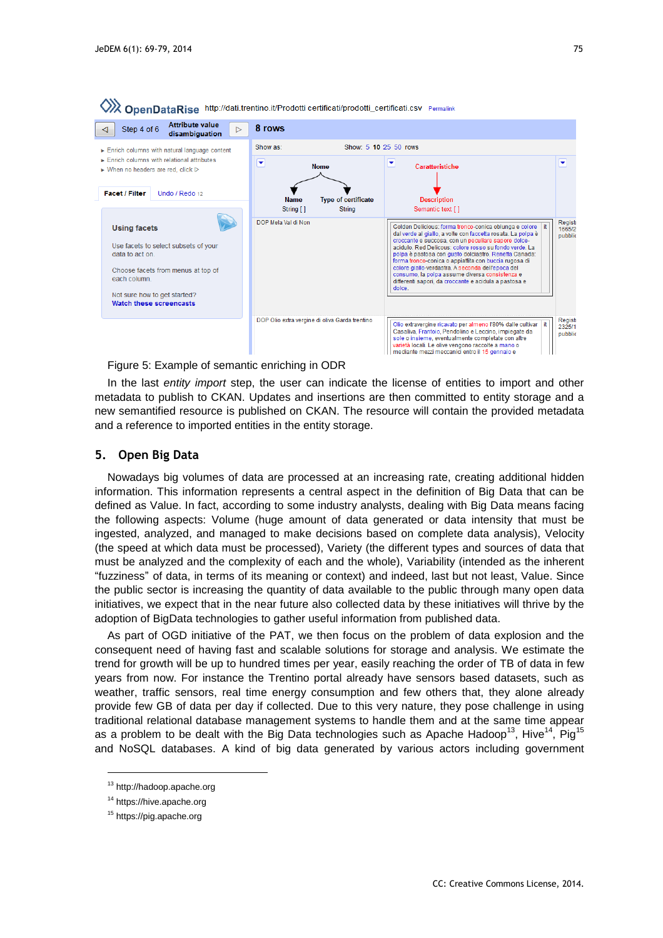

Figure 5: Example of semantic enriching in ODR

In the last *entity import* step, the user can indicate the license of entities to import and other metadata to publish to CKAN. Updates and insertions are then committed to entity storage and a new semantified resource is published on CKAN. The resource will contain the provided metadata and a reference to imported entities in the entity storage.

#### **5. Open Big Data**

Nowadays big volumes of data are processed at an increasing rate, creating additional hidden information. This information represents a central aspect in the definition of Big Data that can be defined as Value. In fact, according to some industry analysts, dealing with Big Data means facing the following aspects: Volume (huge amount of data generated or data intensity that must be ingested, analyzed, and managed to make decisions based on complete data analysis), Velocity (the speed at which data must be processed), Variety (the different types and sources of data that must be analyzed and the complexity of each and the whole), Variability (intended as the inherent "fuzziness" of data, in terms of its meaning or context) and indeed, last but not least, Value. Since the public sector is increasing the quantity of data available to the public through many open data initiatives, we expect that in the near future also collected data by these initiatives will thrive by the adoption of BigData technologies to gather useful information from published data.

As part of OGD initiative of the PAT, we then focus on the problem of data explosion and the consequent need of having fast and scalable solutions for storage and analysis. We estimate the trend for growth will be up to hundred times per year, easily reaching the order of TB of data in few years from now. For instance the Trentino portal already have sensors based datasets, such as weather, traffic sensors, real time energy consumption and few others that, they alone already provide few GB of data per day if collected. Due to this very nature, they pose challenge in using traditional relational database management systems to handle them and at the same time appear as a problem to be dealt with the Big Data technologies such as Apache Hadoop<sup>13</sup>, Hive<sup>14</sup>, Pig<sup>15</sup> and NoSQL databases. A kind of big data generated by various actors including government

<sup>13</sup> http://hadoop.apache.org

<sup>14</sup> https://hive.apache.org

<sup>15</sup> https://pig.apache.org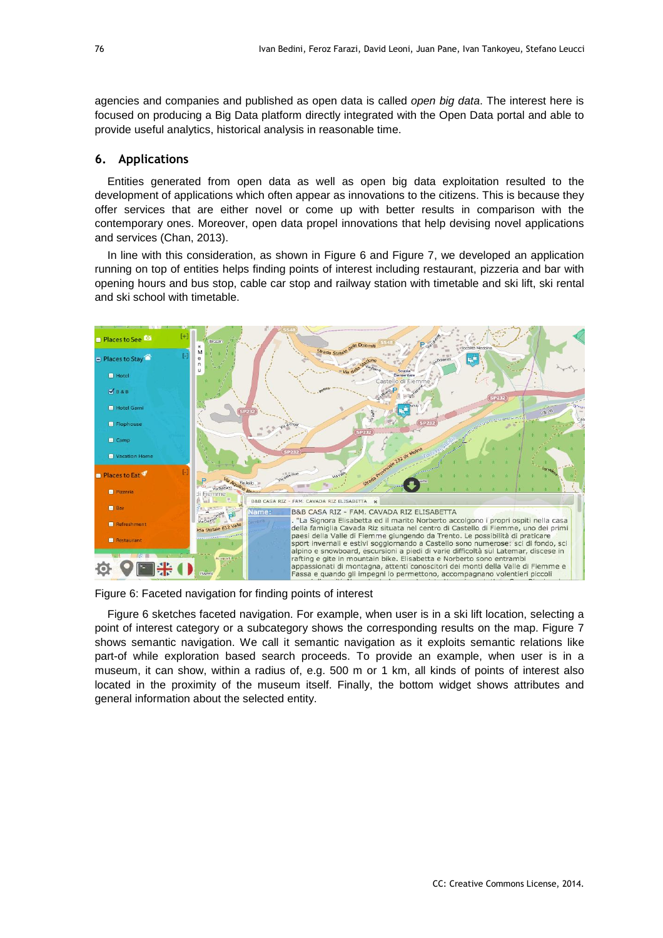agencies and companies and published as open data is called *open big data*. The interest here is focused on producing a Big Data platform directly integrated with the Open Data portal and able to provide useful analytics, historical analysis in reasonable time.

### **6. Applications**

Entities generated from open data as well as open big data exploitation resulted to the development of applications which often appear as innovations to the citizens. This is because they offer services that are either novel or come up with better results in comparison with the contemporary ones. Moreover, open data propel innovations that help devising novel applications and services (Chan, 2013).

In line with this consideration, as shown in Figure 6 and Figure 7, we developed an application running on top of entities helps finding points of interest including restaurant, pizzeria and bar with opening hours and bus stop, cable car stop and railway station with timetable and ski lift, ski rental and ski school with timetable.



Figure 6: Faceted navigation for finding points of interest

Figure 6 sketches faceted navigation. For example, when user is in a ski lift location, selecting a point of interest category or a subcategory shows the corresponding results on the map. Figure 7 shows semantic navigation. We call it semantic navigation as it exploits semantic relations like part-of while exploration based search proceeds. To provide an example, when user is in a museum, it can show, within a radius of, e.g. 500 m or 1 km, all kinds of points of interest also located in the proximity of the museum itself. Finally, the bottom widget shows attributes and general information about the selected entity.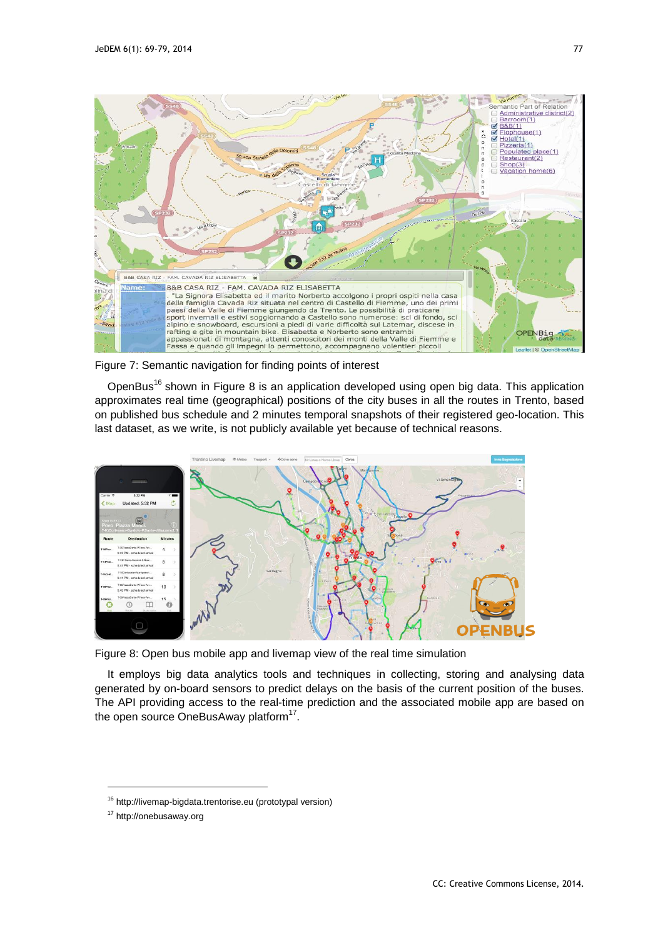

Figure 7: Semantic navigation for finding points of interest

OpenBus<sup>16</sup> shown in Figure 8 is an application developed using open big data. This application approximates real time (geographical) positions of the city buses in all the routes in Trento, based on published bus schedule and 2 minutes temporal snapshots of their registered geo-location. This last dataset, as we write, is not publicly available yet because of technical reasons.



Figure 8: Open bus mobile app and livemap view of the real time simulation

It employs big data analytics tools and techniques in collecting, storing and analysing data generated by on-board sensors to predict delays on the basis of the current position of the buses. The API providing access to the real-time prediction and the associated mobile app are based on the open source OneBusAway platform<sup>17</sup>.

<sup>16</sup> http://livemap-bigdata.trentorise.eu (prototypal version)

<sup>17</sup> http://onebusaway.org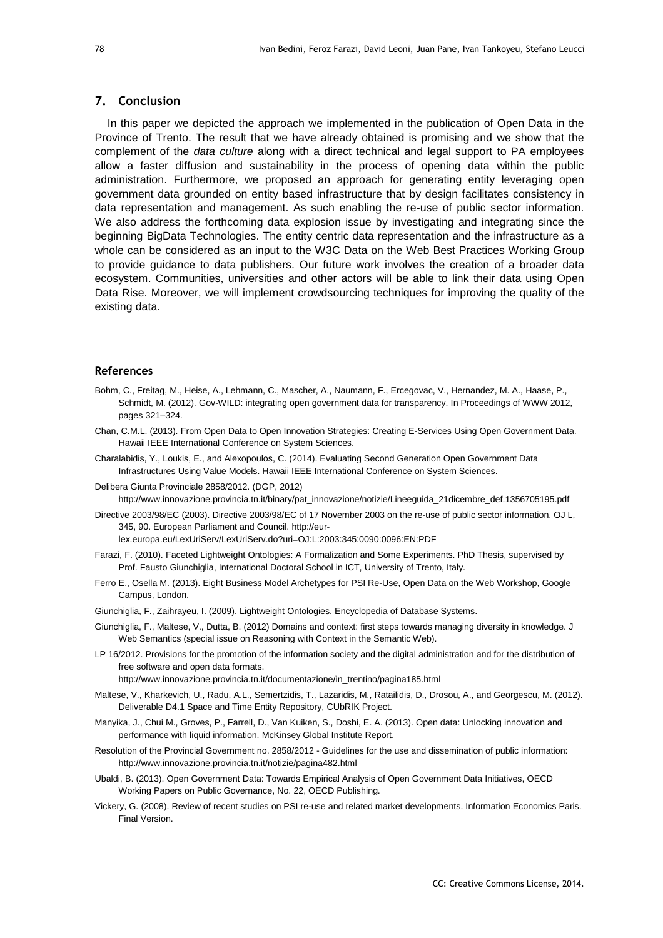#### **7. Conclusion**

In this paper we depicted the approach we implemented in the publication of Open Data in the Province of Trento. The result that we have already obtained is promising and we show that the complement of the *data culture* along with a direct technical and legal support to PA employees allow a faster diffusion and sustainability in the process of opening data within the public administration. Furthermore, we proposed an approach for generating entity leveraging open government data grounded on entity based infrastructure that by design facilitates consistency in data representation and management. As such enabling the re-use of public sector information. We also address the forthcoming data explosion issue by investigating and integrating since the beginning BigData Technologies. The entity centric data representation and the infrastructure as a whole can be considered as an input to the W3C Data on the Web Best Practices Working Group to provide guidance to data publishers. Our future work involves the creation of a broader data ecosystem. Communities, universities and other actors will be able to link their data using Open Data Rise. Moreover, we will implement crowdsourcing techniques for improving the quality of the existing data.

#### **References**

- Bohm, C., Freitag, M., Heise, A., Lehmann, C., Mascher, A., Naumann, F., Ercegovac, V., Hernandez, M. A., Haase, P., Schmidt, M. (2012). Gov-WILD: integrating open government data for transparency. In Proceedings of WWW 2012, pages 321–324.
- Chan, C.M.L. (2013). From Open Data to Open Innovation Strategies: Creating E-Services Using Open Government Data. Hawaii IEEE International Conference on System Sciences.
- Charalabidis, Y., Loukis, E., and Alexopoulos, C. (2014). Evaluating Second Generation Open Government Data Infrastructures Using Value Models. Hawaii IEEE International Conference on System Sciences.
- Delibera Giunta Provinciale 2858/2012. (DGP, 2012) http://www.innovazione.provincia.tn.it/binary/pat\_innovazione/notizie/Lineeguida\_21dicembre\_def.1356705195.pdf

Directive 2003/98/EC (2003). Directive 2003/98/EC of 17 November 2003 on the re-use of public sector information. OJ L, 345, 90. European Parliament and Council. http://eur-

lex.europa.eu/LexUriServ/LexUriServ.do?uri=OJ:L:2003:345:0090:0096:EN:PDF

- Farazi, F. (2010). Faceted Lightweight Ontologies: A Formalization and Some Experiments. PhD Thesis, supervised by Prof. Fausto Giunchiglia, International Doctoral School in ICT, University of Trento, Italy.
- Ferro E., Osella M. (2013). Eight Business Model Archetypes for PSI Re-Use, Open Data on the Web Workshop, Google Campus, London.
- Giunchiglia, F., Zaihrayeu, I. (2009). Lightweight Ontologies. Encyclopedia of Database Systems.
- Giunchiglia, F., Maltese, V., Dutta, B. (2012) Domains and context: first steps towards managing diversity in knowledge. J Web Semantics (special issue on Reasoning with Context in the Semantic Web).
- LP 16/2012. Provisions for the promotion of the information society and the digital administration and for the distribution of free software and open data formats.
	- http://www.innovazione.provincia.tn.it/documentazione/in\_trentino/pagina185.html
- Maltese, V., Kharkevich, U., Radu, A.L., Semertzidis, T., Lazaridis, M., Ratailidis, D., Drosou, A., and Georgescu, M. (2012). Deliverable D4.1 Space and Time Entity Repository, CUbRIK Project.
- Manyika, J., Chui M., Groves, P., Farrell, D., Van Kuiken, S., Doshi, E. A. (2013). Open data: Unlocking innovation and performance with liquid information. McKinsey Global Institute Report.
- Resolution of the Provincial Government no. 2858/2012 Guidelines for the use and dissemination of public information: <http://www.innovazione.provincia.tn.it/notizie/pagina482.html>
- Ubaldi, B. (2013). Open Government Data: Towards Empirical Analysis of Open Government Data Initiatives, OECD Working Papers on Public Governance, No. 22, OECD Publishing.
- Vickery, G. (2008). Review of recent studies on PSI re-use and related market developments. Information Economics Paris. Final Version.